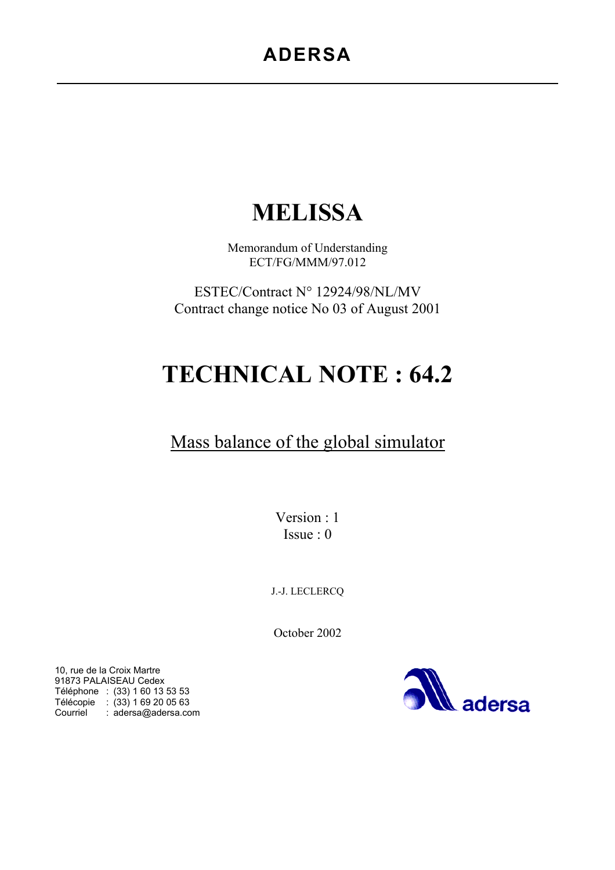# **ADERSA**

# **MELISSA**

Memorandum of Understanding ECT/FG/MMM/97.012

ESTEC/Contract N° 12924/98/NL/MV Contract change notice No 03 of August 2001

# **TECHNICAL NOTE : 64.2**

# Mass balance of the global simulator

Version : 1 Issue : 0

J.-J. LECLERCQ

October 2002



10, rue de la Croix Martre 91873 PALAISEAU Cedex Téléphone : (33) 1 60 13 53 53 Télécopie : (33) 1 69 20 05 63 Courriel : adersa@adersa.com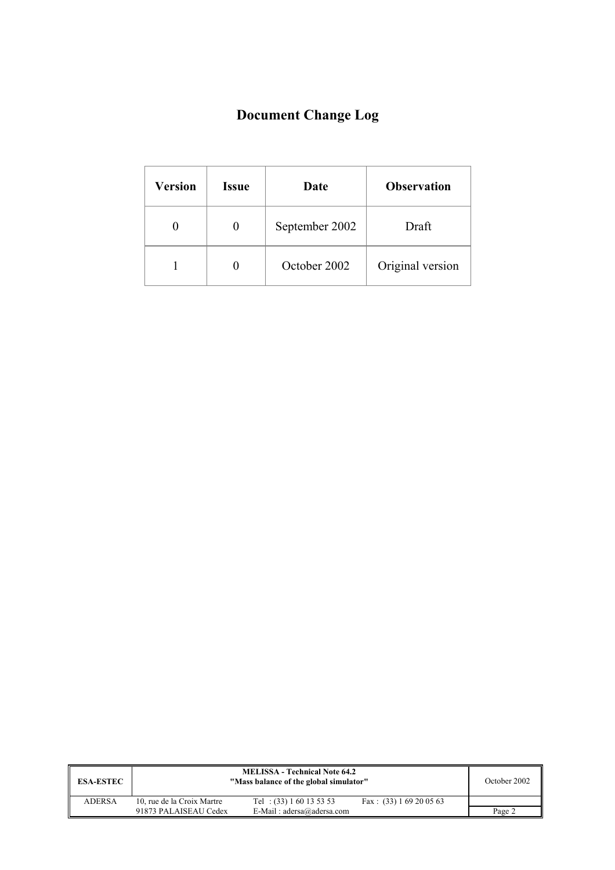# **Document Change Log**

| <b>Version</b> | <b>Issue</b> | Date           | <b>Observation</b> |
|----------------|--------------|----------------|--------------------|
|                |              | September 2002 | Draft              |
|                |              | October 2002   | Original version   |

| <b>ESA-ESTEC</b> |                            | <b>MELISSA - Technical Note 64.2</b><br>"Mass balance of the global simulator" |                           | October 2002 |
|------------------|----------------------------|--------------------------------------------------------------------------------|---------------------------|--------------|
| <b>ADERSA</b>    | 10, rue de la Croix Martre | Tel: $(33) 1 60 13 53 53$                                                      | Fax: $(33) 1 69 20 05 63$ |              |
|                  | 91873 PALAISEAU Cedex      | E-Mail: $adersa@adersa.com$                                                    |                           | Page 2       |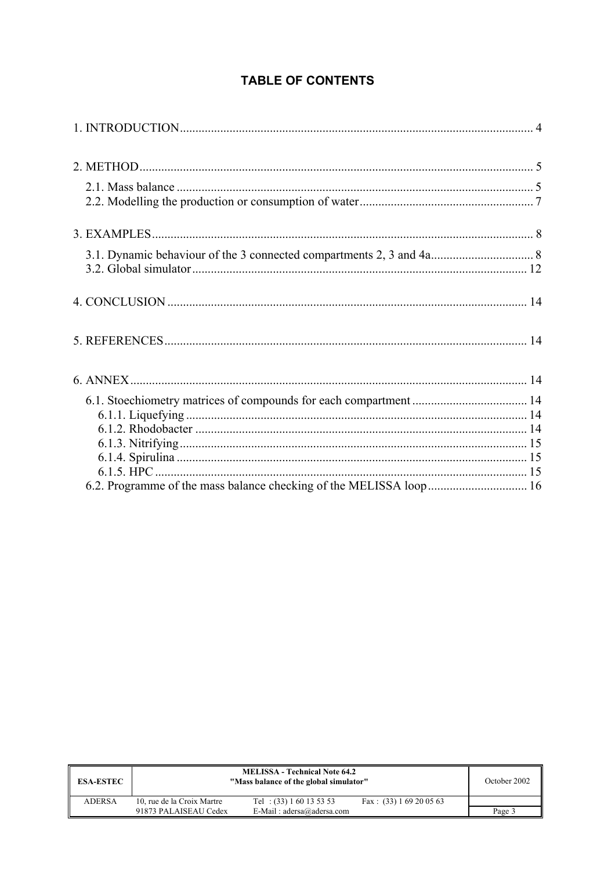## **TABLE OF CONTENTS**

| <b>ESA-ESTEC</b> |                            | <b>MELISSA - Technical Note 64.2</b><br>"Mass balance of the global simulator" |                           | October 2002 |
|------------------|----------------------------|--------------------------------------------------------------------------------|---------------------------|--------------|
| <b>ADERSA</b>    | 10, rue de la Croix Martre | Tel: $(33) 1 60 13 53 53$                                                      | Fax: $(33) 1 69 20 05 63$ |              |
|                  | 91873 PALAISEAU Cedex      | E-Mail: $adersa@adersa.com$                                                    |                           | Page 3       |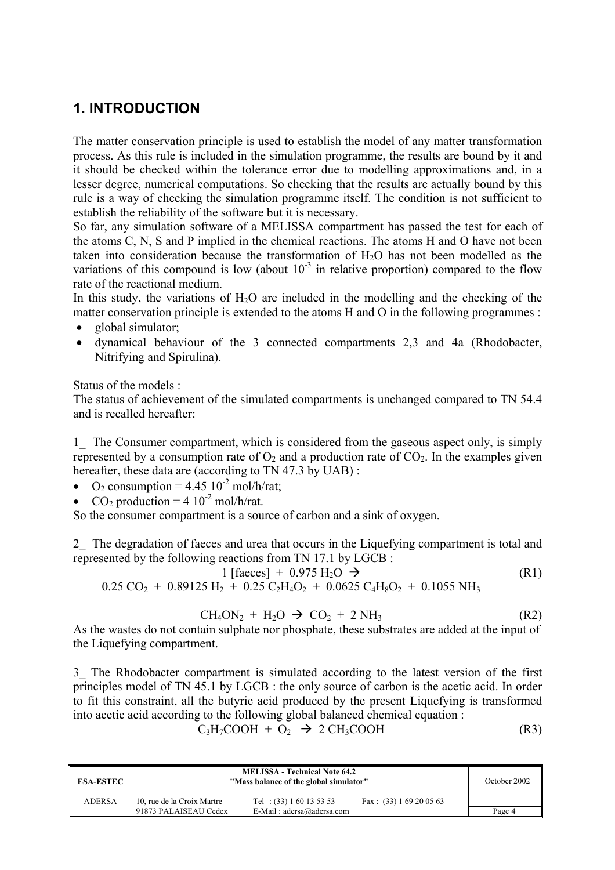# **1. INTRODUCTION**

The matter conservation principle is used to establish the model of any matter transformation process. As this rule is included in the simulation programme, the results are bound by it and it should be checked within the tolerance error due to modelling approximations and, in a lesser degree, numerical computations. So checking that the results are actually bound by this rule is a way of checking the simulation programme itself. The condition is not sufficient to establish the reliability of the software but it is necessary.

So far, any simulation software of a MELISSA compartment has passed the test for each of the atoms C, N, S and P implied in the chemical reactions. The atoms H and O have not been taken into consideration because the transformation of  $H_2O$  has not been modelled as the variations of this compound is low (about  $10^{-3}$  in relative proportion) compared to the flow rate of the reactional medium.

In this study, the variations of  $H<sub>2</sub>O$  are included in the modelling and the checking of the matter conservation principle is extended to the atoms H and O in the following programmes :

- global simulator;
- dynamical behaviour of the 3 connected compartments 2,3 and 4a (Rhodobacter, Nitrifying and Spirulina).

Status of the models :

The status of achievement of the simulated compartments is unchanged compared to TN 54.4 and is recalled hereafter:

1\_ The Consumer compartment, which is considered from the gaseous aspect only, is simply represented by a consumption rate of  $O_2$  and a production rate of  $CO_2$ . In the examples given hereafter, these data are (according to TN 47.3 by UAB):

- O<sub>2</sub> consumption =  $4.45 \times 10^{-2}$  mol/h/rat;
- CO<sub>2</sub> production =  $4 \frac{10^{-2} \text{ mol/h/rat.}}{}$

So the consumer compartment is a source of carbon and a sink of oxygen.

2\_ The degradation of faeces and urea that occurs in the Liquefying compartment is total and represented by the following reactions from TN 17.1 by LGCB :

$$
1 \text{ [faces]} + 0.975 \text{ H}_2\text{O} \rightarrow \text{(R1)}
$$
  
CO. + 0.80125 H. + 0.25 C.H.O. + 0.0625 C.H.O. + 0.1055 NH.

$$
0.25 \text{ CO}_2 + 0.89125 \text{ H}_2 + 0.25 \text{ C}_2 \text{H}_4 \text{O}_2 + 0.0625 \text{ C}_4 \text{H}_8 \text{O}_2 + 0.1055 \text{ NH}_3
$$

$$
CH4ON2 + H2O \rightarrow CO2 + 2 NH3
$$
 (R2)

As the wastes do not contain sulphate nor phosphate, these substrates are added at the input of the Liquefying compartment.

3\_ The Rhodobacter compartment is simulated according to the latest version of the first principles model of TN 45.1 by LGCB : the only source of carbon is the acetic acid. In order to fit this constraint, all the butyric acid produced by the present Liquefying is transformed into acetic acid according to the following global balanced chemical equation :

$$
C_3H_7COOH + O_2 \rightarrow 2 CH_3COOH
$$
 (R3)

| <b>ESA-ESTEC</b> |                            | <b>MELISSA - Technical Note 64.2</b><br>"Mass balance of the global simulator" |                           | October 2002 |
|------------------|----------------------------|--------------------------------------------------------------------------------|---------------------------|--------------|
| <b>ADERSA</b>    | 10, rue de la Croix Martre | Tel: $(33) 1 60 13 53 53$                                                      | Fax: $(33) 1 69 20 05 63$ |              |
|                  | 91873 PALAISEAU Cedex      | E-Mail: $adersa@adersa.com$                                                    |                           | Page 4       |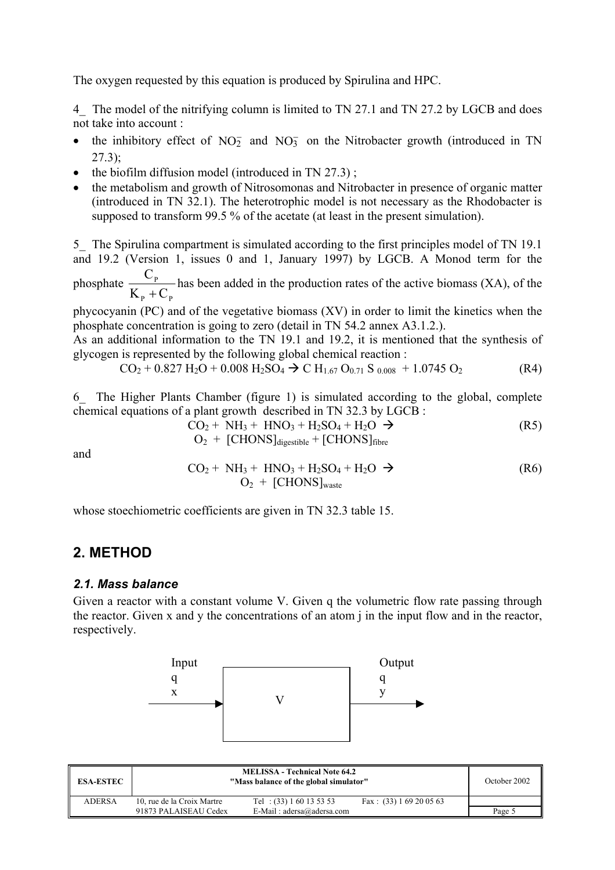The oxygen requested by this equation is produced by Spirulina and HPC.

4 The model of the nitrifying column is limited to TN 27.1 and TN 27.2 by LGCB and does not take into account :

- the inhibitory effect of  $NO<sub>2</sub><sup>-</sup>$  and  $NO<sub>3</sub><sup>-</sup>$  on the Nitrobacter growth (introduced in TN  $27.3$ :
- the biofilm diffusion model (introduced in TN 27.3);
- the metabolism and growth of Nitrosomonas and Nitrobacter in presence of organic matter (introduced in TN 32.1). The heterotrophic model is not necessary as the Rhodobacter is supposed to transform 99.5 % of the acetate (at least in the present simulation).

5 The Spirulina compartment is simulated according to the first principles model of TN 19.1 and 19.2 (Version 1, issues 0 and 1, January 1997) by LGCB. A Monod term for the phosphate P  $K_{\rm p}$  + C C + has been added in the production rates of the active biomass (XA), of the

 $_{P}$   $\sim$   $_{P}$ phycocyanin (PC) and of the vegetative biomass (XV) in order to limit the kinetics when the phosphate concentration is going to zero (detail in TN 54.2 annex A3.1.2.).

As an additional information to the TN 19.1 and 19.2, it is mentioned that the synthesis of glycogen is represented by the following global chemical reaction :

$$
CO2 + 0.827 H2O + 0.008 H2SO4 \to C H1.67 O0.71 S0.008 + 1.0745 O2
$$
 (R4)

6\_ The Higher Plants Chamber (figure 1) is simulated according to the global, complete chemical equations of a plant growth described in TN 32.3 by LGCB :

$$
CO2 + NH3 + HNO3 + H2SO4 + H2O \rightarrow (R5)
$$
  
\n
$$
O2 + [CHONS]digestible + [CHONS]fiber
$$

and

$$
CO2 + NH3 + HNO3 + H2SO4 + H2O \rightarrow
$$
 (R6)  
O<sub>2</sub> + [CHONS]<sub>waste</sub>

whose stoechiometric coefficients are given in TN 32.3 table 15.

### **2. METHOD**

#### *2.1. Mass balance*

Given a reactor with a constant volume V. Given q the volumetric flow rate passing through the reactor. Given x and y the concentrations of an atom j in the input flow and in the reactor, respectively.



| <b>ESA-ESTEC</b> |                            | <b>MELISSA - Technical Note 64.2</b><br>"Mass balance of the global simulator" |                           | October 2002 |
|------------------|----------------------------|--------------------------------------------------------------------------------|---------------------------|--------------|
| <b>ADERSA</b>    | 10, rue de la Croix Martre | Tel: $(33) 1 60 13 53 53$                                                      | Fax: $(33) 1 69 20 05 63$ |              |
|                  | 91873 PALAISEAU Cedex      | E-Mail: $adersa@adersa.com$                                                    |                           | Page 5       |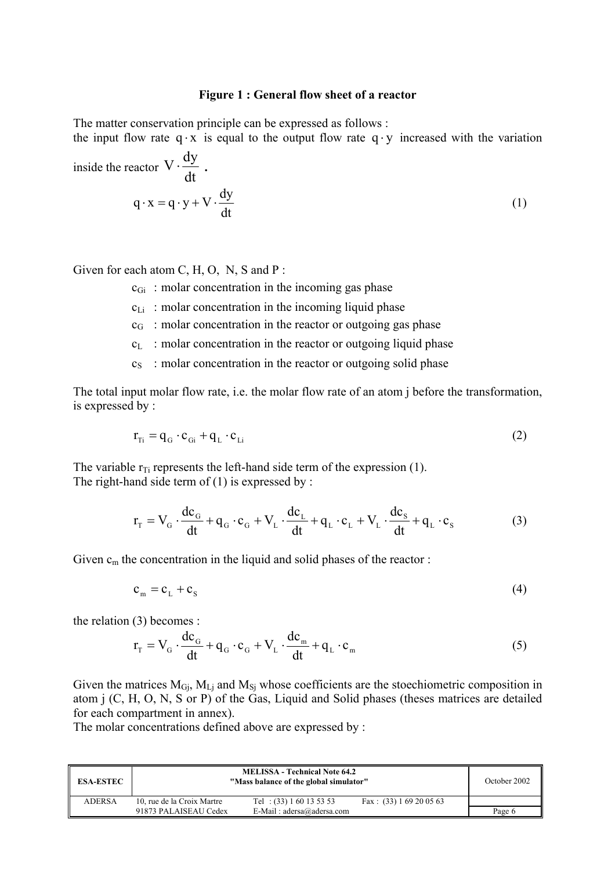#### **Figure 1 : General flow sheet of a reactor**

The matter conservation principle can be expressed as follows :

the input flow rate q ⋅ x is equal to the output flow rate q ⋅ y increased with the variation **a**  $\bf$ **dv** 

inside the reactor 
$$
V \cdot \frac{dy}{dt}
$$
.  
\n $q \cdot x = q \cdot y + V \cdot \frac{dy}{dt}$  (1)

Given for each atom C, H, O, N, S and P :

 $c_{\rm Gi}$ : molar concentration in the incoming gas phase

- $c_{Li}$ : molar concentration in the incoming liquid phase
- $c_G$ : molar concentration in the reactor or outgoing gas phase
- $c_L$ : molar concentration in the reactor or outgoing liquid phase
- $c<sub>S</sub>$ : molar concentration in the reactor or outgoing solid phase

The total input molar flow rate, i.e. the molar flow rate of an atom j before the transformation, is expressed by :

$$
\mathbf{r}_{\rm Ti} = \mathbf{q}_{\rm G} \cdot \mathbf{c}_{\rm Gi} + \mathbf{q}_{\rm L} \cdot \mathbf{c}_{\rm Li}
$$
 (2)

The variable  $r_{Ti}$  represents the left-hand side term of the expression (1). The right-hand side term of  $(1)$  is expressed by :

$$
\mathbf{r}_{\mathrm{T}} = \mathbf{V}_{\mathrm{G}} \cdot \frac{\mathrm{d}\mathbf{c}_{\mathrm{G}}}{\mathrm{d}t} + \mathbf{q}_{\mathrm{G}} \cdot \mathbf{c}_{\mathrm{G}} + \mathbf{V}_{\mathrm{L}} \cdot \frac{\mathrm{d}\mathbf{c}_{\mathrm{L}}}{\mathrm{d}t} + \mathbf{q}_{\mathrm{L}} \cdot \mathbf{c}_{\mathrm{L}} + \mathbf{V}_{\mathrm{L}} \cdot \frac{\mathrm{d}\mathbf{c}_{\mathrm{S}}}{\mathrm{d}t} + \mathbf{q}_{\mathrm{L}} \cdot \mathbf{c}_{\mathrm{S}} \tag{3}
$$

Given  $c_m$  the concentration in the liquid and solid phases of the reactor :

$$
c_m = c_L + c_S \tag{4}
$$

the relation (3) becomes :

$$
\mathbf{r}_{\mathrm{T}} = \mathbf{V}_{\mathrm{G}} \cdot \frac{\mathrm{d}\mathbf{c}_{\mathrm{G}}}{\mathrm{d}\mathbf{t}} + \mathbf{q}_{\mathrm{G}} \cdot \mathbf{c}_{\mathrm{G}} + \mathbf{V}_{\mathrm{L}} \cdot \frac{\mathrm{d}\mathbf{c}_{\mathrm{m}}}{\mathrm{d}\mathbf{t}} + \mathbf{q}_{\mathrm{L}} \cdot \mathbf{c}_{\mathrm{m}} \tag{5}
$$

Given the matrices  $M_{\text{G}i}$ ,  $M_{\text{L}i}$  and  $M_{\text{Si}}$  whose coefficients are the stoechiometric composition in atom j (C, H, O, N, S or P) of the Gas, Liquid and Solid phases (theses matrices are detailed for each compartment in annex).

The molar concentrations defined above are expressed by :

| <b>ESA-ESTEC</b> |                            | <b>MELISSA - Technical Note 64.2</b><br>"Mass balance of the global simulator" |                           | October 2002 |
|------------------|----------------------------|--------------------------------------------------------------------------------|---------------------------|--------------|
| <b>ADERSA</b>    | 10, rue de la Croix Martre | Tel: $(33) 1 60 13 53 53$                                                      | Fax: $(33) 1 69 20 05 63$ |              |
|                  | 91873 PALAISEAU Cedex      | E-Mail: $adersa@adersa.com$                                                    |                           | Page 6       |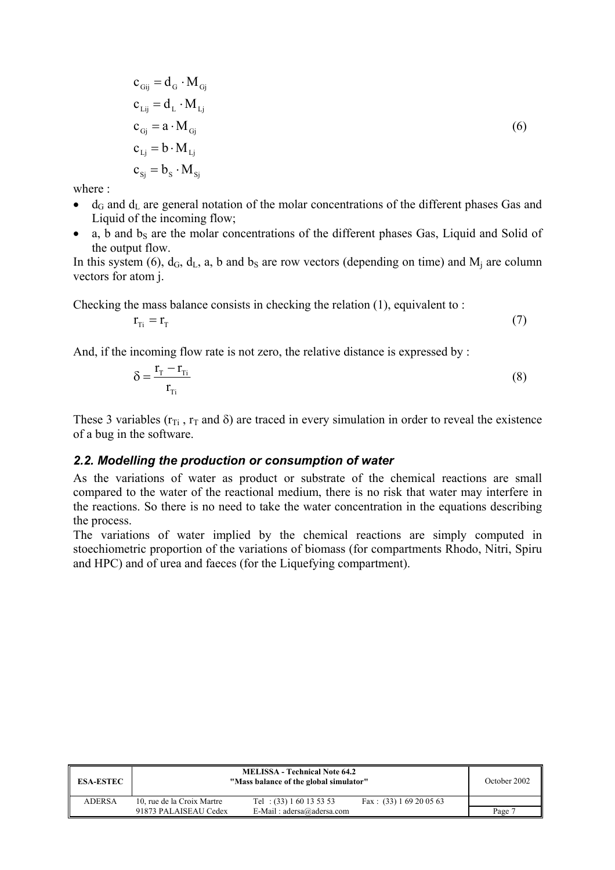$$
c_{Gij} = d_G \cdot M_{Gj}
$$
  
\n
$$
c_{Lij} = d_L \cdot M_{Lj}
$$
  
\n
$$
c_{Gj} = a \cdot M_{Gj}
$$
  
\n
$$
c_{Lj} = b \cdot M_{Lj}
$$
  
\n
$$
c_{Sj} = b_S \cdot M_{Sj}
$$
\n(6)

where :

- $d_G$  and  $d_L$  are general notation of the molar concentrations of the different phases Gas and Liquid of the incoming flow;
- a, b and  $b_s$  are the molar concentrations of the different phases Gas, Liquid and Solid of the output flow.

In this system (6),  $d_G$ ,  $d_L$ , a, b and b<sub>S</sub> are row vectors (depending on time) and  $M_i$  are column vectors for atom j.

Checking the mass balance consists in checking the relation (1), equivalent to :

 $r_{\rm Ti} = r_{\rm T}$  (7)

And, if the incoming flow rate is not zero, the relative distance is expressed by :

$$
\delta = \frac{\mathbf{r}_{\rm T} - \mathbf{r}_{\rm Ti}}{\mathbf{r}_{\rm Ti}}\tag{8}
$$

These 3 variables ( $r_{Ti}$ ,  $r_{T}$  and  $\delta$ ) are traced in every simulation in order to reveal the existence of a bug in the software.

#### *2.2. Modelling the production or consumption of water*

As the variations of water as product or substrate of the chemical reactions are small compared to the water of the reactional medium, there is no risk that water may interfere in the reactions. So there is no need to take the water concentration in the equations describing the process.

The variations of water implied by the chemical reactions are simply computed in stoechiometric proportion of the variations of biomass (for compartments Rhodo, Nitri, Spiru and HPC) and of urea and faeces (for the Liquefying compartment).

| <b>ESA-ESTEC</b> |                            | <b>MELISSA - Technical Note 64.2</b><br>"Mass balance of the global simulator" |                           | October 2002 |
|------------------|----------------------------|--------------------------------------------------------------------------------|---------------------------|--------------|
| <b>ADERSA</b>    | 10, rue de la Croix Martre | Tel : $(33) 1 60 13 53 53$                                                     | Fax: $(33) 1 69 20 05 63$ |              |
|                  | 91873 PALAISEAU Cedex      | E-Mail: $adersa@adersa.com$                                                    |                           | Page 7       |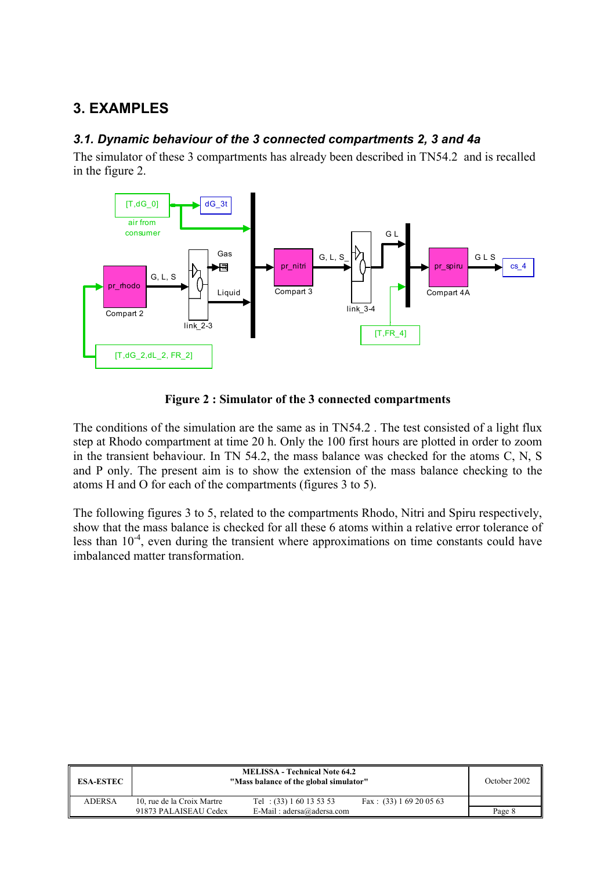# **3. EXAMPLES**

### *3.1. Dynamic behaviour of the 3 connected compartments 2, 3 and 4a*

The simulator of these 3 compartments has already been described in TN54.2 and is recalled in the figure 2.



**Figure 2 : Simulator of the 3 connected compartments** 

The conditions of the simulation are the same as in TN54.2 . The test consisted of a light flux step at Rhodo compartment at time 20 h. Only the 100 first hours are plotted in order to zoom in the transient behaviour. In TN 54.2, the mass balance was checked for the atoms C, N, S and P only. The present aim is to show the extension of the mass balance checking to the atoms H and O for each of the compartments (figures 3 to 5).

The following figures 3 to 5, related to the compartments Rhodo, Nitri and Spiru respectively, show that the mass balance is checked for all these 6 atoms within a relative error tolerance of less than  $10^{-4}$ , even during the transient where approximations on time constants could have imbalanced matter transformation.

| <b>ESA-ESTEC</b> |                            | <b>MELISSA - Technical Note 64.2</b><br>"Mass balance of the global simulator" |                           | October 2002 |
|------------------|----------------------------|--------------------------------------------------------------------------------|---------------------------|--------------|
| <b>ADERSA</b>    | 10, rue de la Croix Martre | Tel: $(33) 1 60 13 53 53$                                                      | Fax: $(33) 1 69 20 05 63$ |              |
|                  | 91873 PALAISEAU Cedex      | E-Mail: $adersa@adersa.com$                                                    |                           | Page 8       |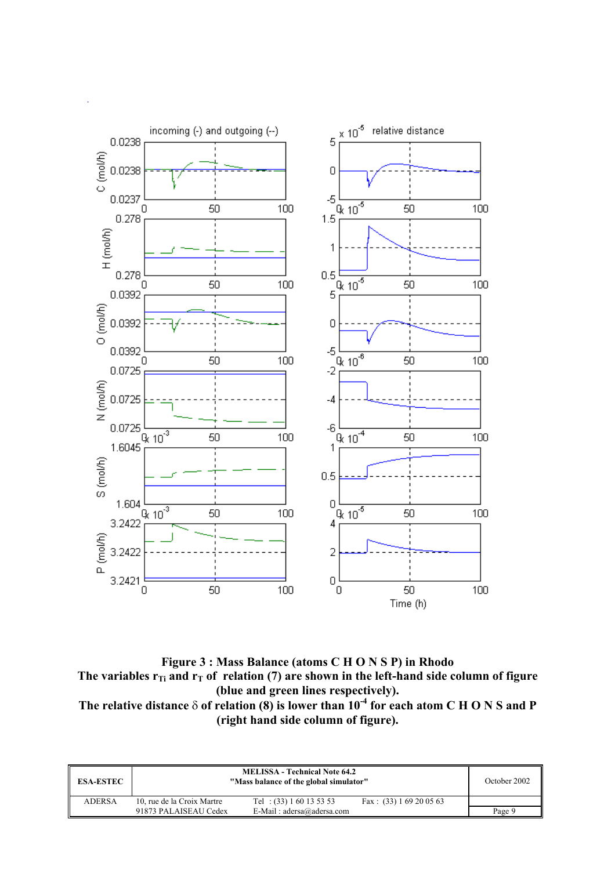

**Figure 3 : Mass Balance (atoms C H O N S P) in Rhodo**  The variables  $r_{Ti}$  and  $r_T$  of relation (7) are shown in the left-hand side column of figure **(blue and green lines respectively). The relative distance** δ **of relation (8) is lower than 10-4 for each atom C H O N S and P (right hand side column of figure).** 

| <b>ESA-ESTEC</b> |                            | <b>MELISSA - Technical Note 64.2</b><br>"Mass balance of the global simulator" |                           | October 2002 |
|------------------|----------------------------|--------------------------------------------------------------------------------|---------------------------|--------------|
| <b>ADERSA</b>    | 10, rue de la Croix Martre | Tel: $(33) 1 60 13 53 53$                                                      | Fax: $(33) 1 69 20 05 63$ |              |
|                  | 91873 PALAISEAU Cedex      | E-Mail: $adersa@adersa.com$                                                    |                           | Page 9       |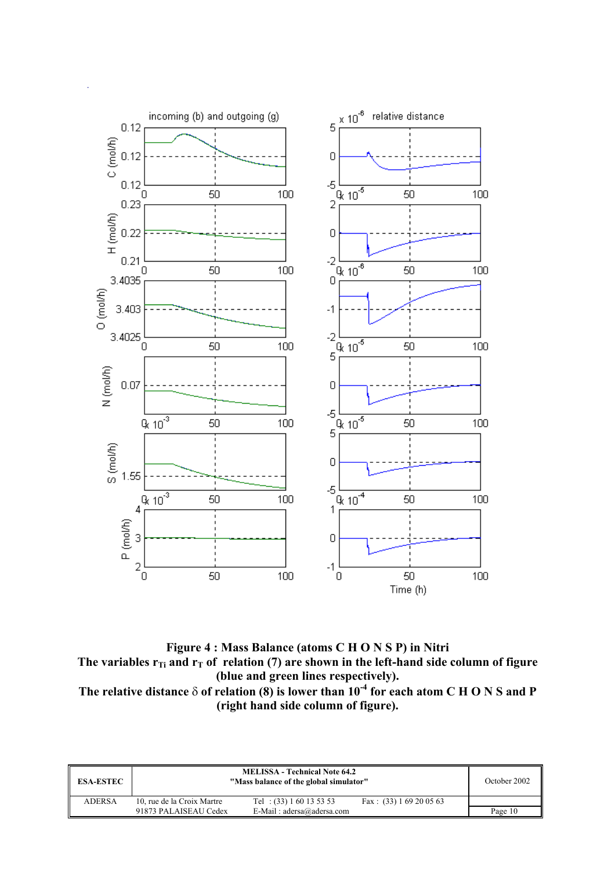

**Figure 4 : Mass Balance (atoms C H O N S P) in Nitri**  The variables  $r_{Ti}$  and  $r_{T}$  of relation (7) are shown in the left-hand side column of figure **(blue and green lines respectively). The relative distance** δ **of relation (8) is lower than 10-4 for each atom C H O N S and P (right hand side column of figure).** 

| <b>ESA-ESTEC</b> |                            | <b>MELISSA - Technical Note 64.2</b><br>"Mass balance of the global simulator" |                           | October 2002 |
|------------------|----------------------------|--------------------------------------------------------------------------------|---------------------------|--------------|
| <b>ADERSA</b>    | 10, rue de la Croix Martre | Tel : $(33) 1 60 13 53 53$                                                     | Fax: $(33) 1 69 20 05 63$ |              |
|                  | 91873 PALAISEAU Cedex      | E-Mail: $adersa@adersa.com$                                                    |                           | Page 10      |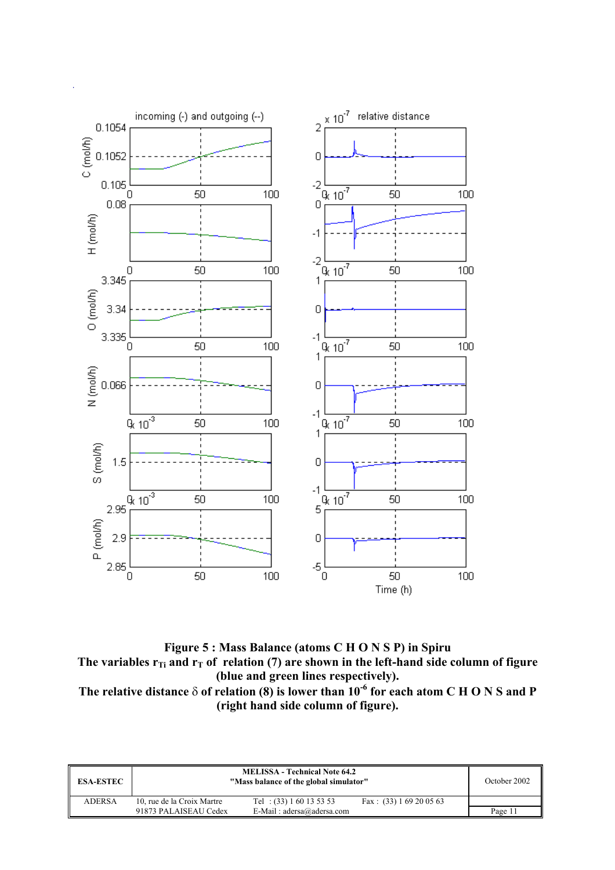

**Figure 5 : Mass Balance (atoms C H O N S P) in Spiru**  The variables  $r_{Ti}$  and  $r_T$  of relation (7) are shown in the left-hand side column of figure **(blue and green lines respectively). The relative distance** δ **of relation (8) is lower than 10-6 for each atom C H O N S and P (right hand side column of figure).** 

| <b>ESA-ESTEC</b> |                            | <b>MELISSA - Technical Note 64.2</b><br>"Mass balance of the global simulator" |                           | October 2002 |
|------------------|----------------------------|--------------------------------------------------------------------------------|---------------------------|--------------|
| <b>ADERSA</b>    | 10, rue de la Croix Martre | Tel : $(33) 1 60 13 53 53$                                                     | Fax: $(33) 1 69 20 05 63$ |              |
|                  | 91873 PALAISEAU Cedex      | E-Mail: $adersa@adersa.com$                                                    |                           | Page 11      |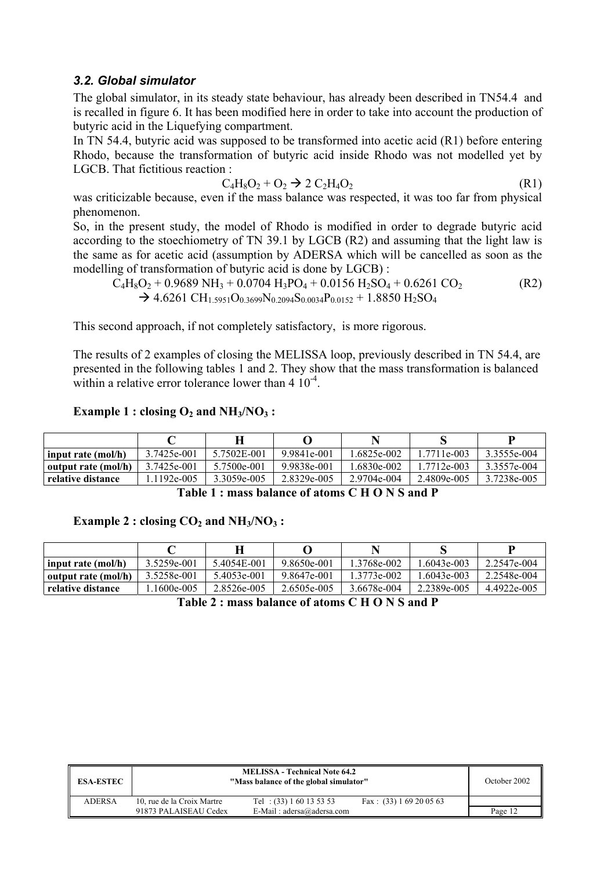#### *3.2. Global simulator*

The global simulator, in its steady state behaviour, has already been described in TN54.4 and is recalled in figure 6. It has been modified here in order to take into account the production of butyric acid in the Liquefying compartment.

In TN 54.4, butyric acid was supposed to be transformed into acetic acid (R1) before entering Rhodo, because the transformation of butyric acid inside Rhodo was not modelled yet by LGCB. That fictitious reaction :

$$
C_4H_8O_2 + O_2 \rightarrow 2 C_2H_4O_2 \tag{R1}
$$

was criticizable because, even if the mass balance was respected, it was too far from physical phenomenon.

So, in the present study, the model of Rhodo is modified in order to degrade butyric acid according to the stoechiometry of TN 39.1 by LGCB (R2) and assuming that the light law is the same as for acetic acid (assumption by ADERSA which will be cancelled as soon as the modelling of transformation of butyric acid is done by LGCB) :

$$
\begin{aligned} \n\overline{C}_4 H_8 O_2 + 0.9689 \text{ NH}_3 + 0.0704 \text{ H}_3 \text{PO}_4 + 0.0156 \text{ H}_2 \text{SO}_4 + 0.6261 \text{ CO}_2 & \rightarrow 4.6261 \text{ CH}_{1.5951} O_{0.3699} N_{0.2094} S_{0.0034} P_{0.0152} + 1.8850 \text{ H}_2 \text{SO}_4 \n\end{aligned} \tag{R2}
$$

This second approach, if not completely satisfactory, is more rigorous.

The results of 2 examples of closing the MELISSA loop, previously described in TN 54.4, are presented in the following tables 1 and 2. They show that the mass transformation is balanced within a relative error tolerance lower than 4  $10^{-4}$ .

#### **Example 1 : closing**  $O_2$  **and**  $NH_3/NO_3$  **:**

| input rate (mol/h)  | 3.7425e-001 | 5.7502E-001 | 9.9841e-001 | 1.6825e-002 | 1.7711e-003 | 3.3555e-004 |
|---------------------|-------------|-------------|-------------|-------------|-------------|-------------|
| output rate (mol/h) | 3.7425e-001 | 5.7500e-001 | 9.9838e-001 | 1.6830e-002 | 1.7712e-003 | 3.3557e-004 |
| relative distance   | .1192e-005  | 3.3059e-005 | 2.8329e-005 | 2.9704e-004 | 2.4809e-005 | 3.7238e-005 |

**Table 1 : mass balance of atoms C H O N S and P** 

#### **Example 2 : closing CO<sub>2</sub> and NH<sub>3</sub>/NO<sub>3</sub> :**

| input rate (mol/h)  | 3.5259e-001 | 5.4054E-001 | 9.8650e-001 | 1.3768e-002 | $.6043e-003$ | 2.2547e-004 |  |  |  |
|---------------------|-------------|-------------|-------------|-------------|--------------|-------------|--|--|--|
| output rate (mol/h) | 3.5258e-001 | 5.4053e-001 | 9.8647e-001 | 1.3773e-002 | .6043e-003   | 2.2548e-004 |  |  |  |
| relative distance   | .1600e-005  | 2.8526e-005 | 2.6505e-005 | 3.6678e-004 | 2.2389e-005  | 4.4922e-005 |  |  |  |

**Table 2 : mass balance of atoms C H O N S and P** 

| <b>ESA-ESTEC</b> |                            | <b>MELISSA - Technical Note 64.2</b><br>"Mass balance of the global simulator" |                           | October 2002 |
|------------------|----------------------------|--------------------------------------------------------------------------------|---------------------------|--------------|
| <b>ADERSA</b>    | 10, rue de la Croix Martre | Tel: $(33) 1 60 13 53 53$                                                      | Fax: $(33) 1 69 20 05 63$ |              |
|                  | 91873 PALAISEAU Cedex      | E-Mail: $adersa@adersa.com$                                                    |                           | Page 12      |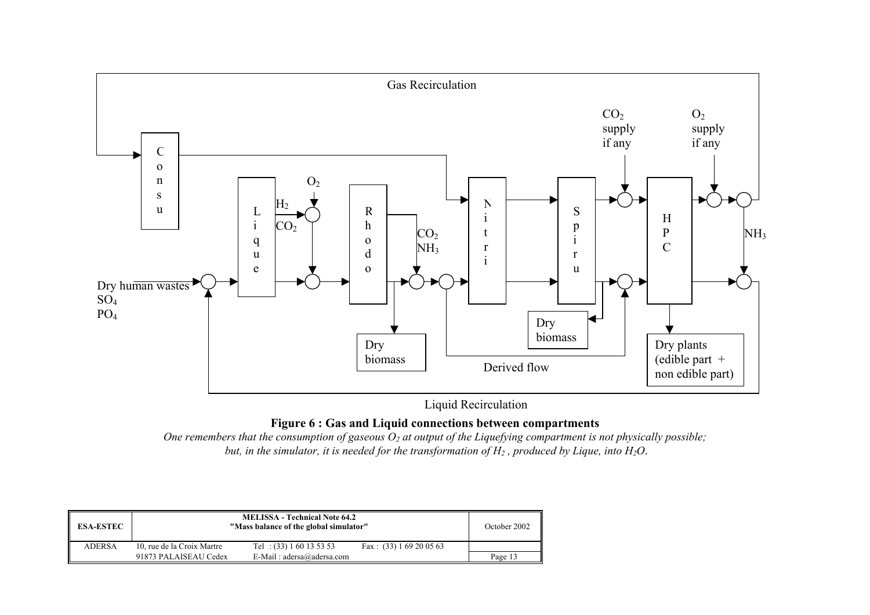

Liquid Recirculation

#### **Figure 6 : Gas and Liquid connections between compartments**

One remembers that the consumption of gaseous  $O_2$  at output of the Liquefying compartment is not physically possible;  *but, in the simulator, it is needed for the transformation of H2 , produced by Lique, into H2O*.

| <b>ESA-ESTEC</b> |                            | <b>MELISSA - Technical Note 64.2</b><br>"Mass balance of the global simulator" |                           | October 2002 |
|------------------|----------------------------|--------------------------------------------------------------------------------|---------------------------|--------------|
| <b>ADERSA</b>    | 10, rue de la Croix Martre | Tel: $(33) 1 60 13 53 53$                                                      | Fax: $(33) 1 69 20 05 63$ |              |
|                  | 91873 PALAISEAU Cedex      | E-Mail: $adersa@adersa.com$                                                    |                           | Page 13      |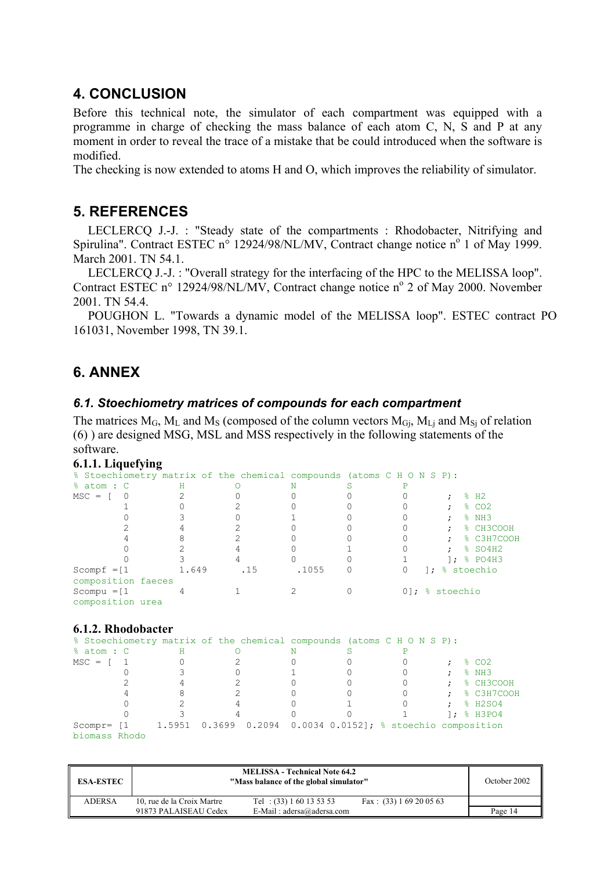### **4. CONCLUSION**

Before this technical note, the simulator of each compartment was equipped with a programme in charge of checking the mass balance of each atom C, N, S and P at any moment in order to reveal the trace of a mistake that be could introduced when the software is modified.

The checking is now extended to atoms H and O, which improves the reliability of simulator.

## **5. REFERENCES**

LECLERCQ J.-J. : "Steady state of the compartments : Rhodobacter, Nitrifying and Spirulina". Contract ESTEC  $n^{\circ}$  12924/98/NL/MV, Contract change notice  $n^{\circ}$  1 of May 1999. March 2001 TN 54.1

LECLERCQ J.-J. : "Overall strategy for the interfacing of the HPC to the MELISSA loop". Contract ESTEC n° 12924/98/NL/MV, Contract change notice n° 2 of May 2000. November 2001. TN 54.4.

POUGHON L. "Towards a dynamic model of the MELISSA loop". ESTEC contract PO 161031, November 1998, TN 39.1.

# **6. ANNEX**

#### *6.1. Stoechiometry matrices of compounds for each compartment*

The matrices  $M_G$ ,  $M_L$  and  $M_S$  (composed of the column vectors  $M_{Gj}$ ,  $M_{Lj}$  and  $M_{Sj}$  of relation (6) ) are designed MSG, MSL and MSS respectively in the following statements of the software.

|  | 6.1.1. Liquefying |
|--|-------------------|
|  |                   |

|                |                    | $\overline{\phantom{a}}$ |     |                                                                       |  |    |                |                               |
|----------------|--------------------|--------------------------|-----|-----------------------------------------------------------------------|--|----|----------------|-------------------------------|
|                |                    |                          |     | % Stoechiometry matrix of the chemical compounds (atoms C H O N S P): |  |    |                |                               |
| % atom : C     |                    | н                        |     |                                                                       |  |    |                |                               |
| $MSC = \Gamma$ |                    |                          |     |                                                                       |  |    |                | $\textdegree$ H2              |
|                |                    |                          |     |                                                                       |  |    | ٠              | $\frac{8}{6}$ CO <sub>2</sub> |
|                |                    |                          |     |                                                                       |  |    | ٠              | $8$ NH3                       |
|                |                    |                          |     |                                                                       |  |    |                | % CH3COOH                     |
|                |                    |                          |     |                                                                       |  |    |                | % C3H7COOH                    |
|                |                    |                          |     |                                                                       |  |    | $\bullet$      | % SO4H2                       |
|                |                    |                          |     |                                                                       |  |    |                | 1: $% PO4H3$                  |
| Scompf $=[1]$  |                    | 1.649                    | .15 | .1055                                                                 |  | ∣; |                | % stoechio                    |
|                | composition faeces |                          |     |                                                                       |  |    |                |                               |
| Scompu $=[1]$  | composition urea   |                          |     |                                                                       |  |    | 01; % stoechio |                               |

#### **6.1.2. Rhodobacter**

|                                         |   |  |   | % Stoechiometry matrix of the chemical compounds (atoms C H O N S P):  |  |                            |
|-----------------------------------------|---|--|---|------------------------------------------------------------------------|--|----------------------------|
| % atom : C                              | н |  | N |                                                                        |  |                            |
| $MSC = \begin{bmatrix} 1 \end{bmatrix}$ |   |  |   |                                                                        |  | % CO2                      |
|                                         |   |  |   |                                                                        |  | 8 NH3                      |
|                                         |   |  |   |                                                                        |  | $:$ $\frac{1}{2}$ CH3COOH  |
|                                         |   |  |   |                                                                        |  | $:$ $\frac{1}{2}$ C3H7COOH |
|                                         |   |  |   |                                                                        |  | $:$ $\frac{8}{2}$ H2SO4    |
|                                         |   |  |   |                                                                        |  | $1:8$ H3PO4                |
|                                         |   |  |   | Scompr= [1 1.5951 0.3699 0.2094 0.0034 0.0152]; % stoechio composition |  |                            |
| biomass Rhodo                           |   |  |   |                                                                        |  |                            |

| <b>ESA-ESTEC</b> |                            | <b>MELISSA - Technical Note 64.2</b><br>"Mass balance of the global simulator" |                           | October 2002 |
|------------------|----------------------------|--------------------------------------------------------------------------------|---------------------------|--------------|
| <b>ADERSA</b>    | 10, rue de la Croix Martre | Tel: $(33) 1 60 13 53 53$                                                      | Fax: $(33) 1 69 20 05 63$ |              |
|                  | 91873 PALAISEAU Cedex      | E-Mail: $adersa@adersa.com$                                                    |                           | Page 14      |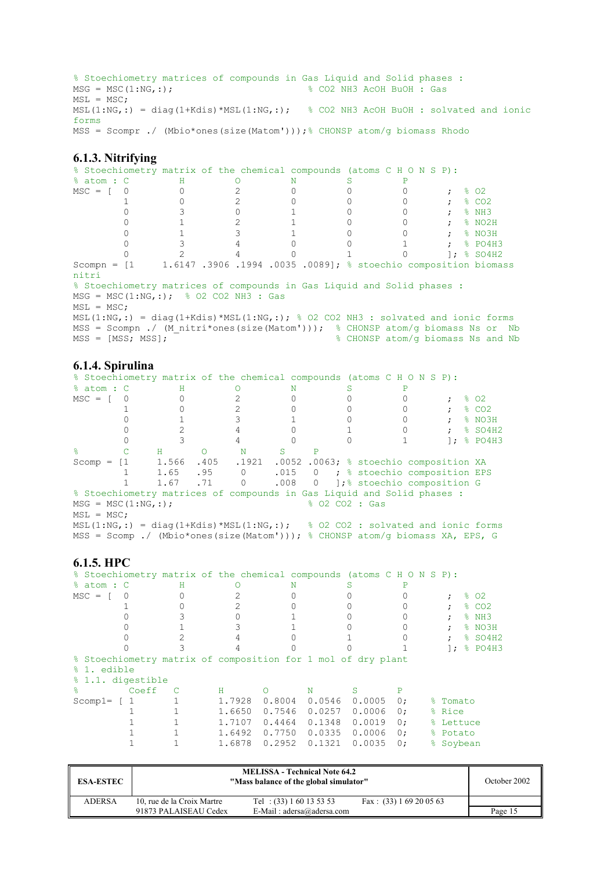```
% Stoechiometry matrices of compounds in Gas Liquid and Solid phases :<br>MSG = MSC(1:NG,:);<br> % CO2 NH3 AcOH BuOH : Gas
                                                 % CO2 NH3 AcOH BuOH : Gas
MSL = MSC;MSL(1:NG, : ) = diag(1+Kdis)*MSL(1:NG, : ); % CO2 NH3 AcOH BuOH : solvated and ionic
forms 
MSS = Scompr ./ (Mbio*ones(size(Matom')));% CHONSP atom/g biomass Rhodo
```
#### **6.1.3. Nitrifying**

|                                         | % Stoechiometry matrix of the chemical compounds (atoms C H O N S P):                                                                                             |   |                                   |                       |                         |
|-----------------------------------------|-------------------------------------------------------------------------------------------------------------------------------------------------------------------|---|-----------------------------------|-----------------------|-------------------------|
| % atom : C                              | H                                                                                                                                                                 | N |                                   |                       |                         |
| $MSC = \begin{bmatrix} 0 \end{bmatrix}$ |                                                                                                                                                                   |   |                                   |                       | ී 02                    |
|                                         |                                                                                                                                                                   |   |                                   | $:$ $\frac{8}{3}$ CO2 |                         |
|                                         |                                                                                                                                                                   |   |                                   | $:$ $\frac{8}{113}$   |                         |
|                                         |                                                                                                                                                                   |   |                                   |                       | $:$ $\frac{8}{8}$ NO2H  |
|                                         |                                                                                                                                                                   |   |                                   |                       | $;$ $\frac{8}{8}$ NO3H  |
|                                         |                                                                                                                                                                   |   |                                   |                       | $:$ $\frac{8}{2}$ PO4H3 |
|                                         |                                                                                                                                                                   |   |                                   |                       | 1: $\frac{1}{6}$ SO4H2  |
| nitri                                   | Scompn = $[1 \t1.6147.3906.1994.0035.0089]$ ; % stoechio composition biomass                                                                                      |   |                                   |                       |                         |
|                                         | % Stoechiometry matrices of compounds in Gas Liquid and Solid phases :                                                                                            |   |                                   |                       |                         |
|                                         | $MSG = MSC(1:NG, :);$ % 02 CO2 NH3 : Gas                                                                                                                          |   |                                   |                       |                         |
| $MSL = MSC:$                            |                                                                                                                                                                   |   |                                   |                       |                         |
| $MSS = [MSS; MSS];$                     | $MSL(1:NG,:) = diag(1+Kdis)*MSL(1:NG,:); % O2 CO2 NH3 : solved and ionic forms$<br>MSS = Scompn ./ (M nitri*ones(size(Matom'))); % CHONSP atom/q biomass Ns or Nb |   | % CHONSP atom/g biomass Ns and Nb |                       |                         |
|                                         |                                                                                                                                                                   |   |                                   |                       |                         |

#### **6.1.4. Spirulina**

|                                         | % Stoechiometry matrix of the chemical compounds (atoms C H O N S P):  |       |      |                |  |                  |                                              |                   |
|-----------------------------------------|------------------------------------------------------------------------|-------|------|----------------|--|------------------|----------------------------------------------|-------------------|
| % atom : C                              |                                                                        | H     |      |                |  |                  |                                              |                   |
| $MSC = \begin{bmatrix} 0 \end{bmatrix}$ |                                                                        |       |      |                |  |                  |                                              | 8 O2              |
|                                         |                                                                        |       |      |                |  |                  |                                              | $\frac{8}{6}$ CO2 |
|                                         |                                                                        |       |      |                |  |                  | $\ddot{ }$                                   | % NO3H            |
|                                         |                                                                        |       |      |                |  |                  | $\mathcal{L}$                                | $$$ SO4H2         |
|                                         |                                                                        |       |      |                |  |                  |                                              | 1: $% PO4H3$      |
| $\approx$                               |                                                                        | Н     |      | N              |  |                  |                                              |                   |
| $Scomp = [1]$                           |                                                                        | 1.566 | .405 |                |  |                  | .1921 .0052 .0063; % stoechio composition XA |                   |
|                                         |                                                                        | 1.65  | .95  | $\overline{0}$ |  |                  | .015 0 ; % stoechio composition EPS          |                   |
|                                         |                                                                        | 1.67  | .71  | $\bigcirc$     |  |                  | .008 0 ]; & stoechio composition G           |                   |
|                                         | % Stoechiometry matrices of compounds in Gas Liquid and Solid phases : |       |      |                |  |                  |                                              |                   |
|                                         | $MSG = MSC(1:NG, :);$                                                  |       |      |                |  | $8.02$ CO2 : Gas |                                              |                   |

```
MSL = MSC;
```
MSL(1:NG,:) = diag(1+Kdis)\*MSL(1:NG,:); % 02 CO2 : solvated and ionic forms MSS = Scomp ./ (Mbio\*ones(size(Matom'))); % CHONSP atom/g biomass XA, EPS, G

#### **6.1.5. HPC**

| % Stoechiometry matrix of the chemical compounds (atoms C H O N S P): |          |                |        |          |   |        |        |    |    |            |                   |
|-----------------------------------------------------------------------|----------|----------------|--------|----------|---|--------|--------|----|----|------------|-------------------|
| % atom : C                                                            |          | н              |        |          | N |        |        |    |    |            |                   |
| $MSC = \Gamma$                                                        | $\Omega$ |                |        |          |   |        |        |    |    |            | 802               |
|                                                                       |          |                |        |          |   |        |        |    |    |            | $\frac{8}{6}$ CO2 |
|                                                                       |          |                |        |          |   |        |        |    |    |            | % NH3             |
|                                                                       |          |                |        |          |   |        |        |    |    |            | % NO3H            |
|                                                                       |          |                |        |          |   |        |        |    |    | $\ddot{ }$ | % SO4H2           |
|                                                                       |          |                |        |          |   |        |        |    |    | $\cdot$    | % PO4H3           |
| % Stoechiometry matrix of composition for 1 mol of dry plant          |          |                |        |          |   |        |        |    |    |            |                   |
| % 1. edible                                                           |          |                |        |          |   |        |        |    |    |            |                   |
| % 1.1. digestible                                                     |          |                |        |          |   |        |        |    |    |            |                   |
| ℅                                                                     | Coeff    | $\overline{c}$ | Н.     | $\Omega$ |   | N      | S      | P  |    |            |                   |
| Scomp $1=$ $\begin{bmatrix} 1 \end{bmatrix}$                          |          |                | 1.7928 | 0.8004   |   | 0.0546 | 0.0005 | 0: |    | % Tomato   |                   |
|                                                                       |          |                | 1.6650 | 0.7546   |   | 0.0257 | 0.0006 | 0: |    | % Rice     |                   |
|                                                                       |          |                | 1.7107 | 0.4464   |   | 0.1348 | 0.0019 | 0: |    | % Lettuce  |                   |
|                                                                       |          |                | 1.6492 | 0.7750   |   | 0.0335 | 0.0006 | 0: |    | % Potato   |                   |
|                                                                       |          |                | 1.6878 | 0.2952   |   | 0.1321 | 0.0035 | 0: | °≈ | Soybean    |                   |

| <b>ESA-ESTEC</b> |                            | <b>MELISSA - Technical Note 64.2</b><br>"Mass balance of the global simulator" |                           | October 2002 |
|------------------|----------------------------|--------------------------------------------------------------------------------|---------------------------|--------------|
| <b>ADERSA</b>    | 10, rue de la Croix Martre | Tel: $(33) 1 60 13 53 53$                                                      | Fax: $(33) 1 69 20 05 63$ |              |
|                  | 91873 PALAISEAU Cedex      | E-Mail: $adersa@adersa.com$                                                    |                           | Page 15      |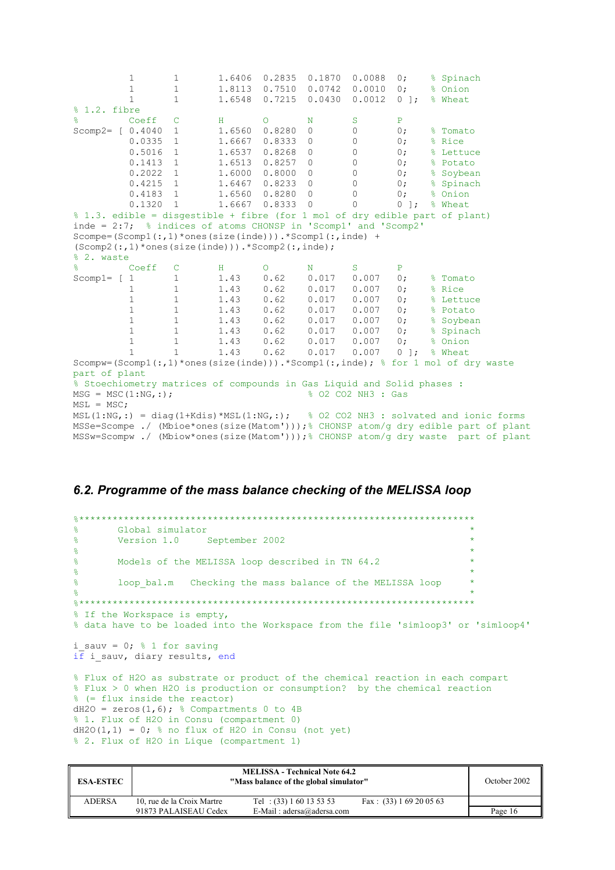|                                                                                             | $\mathbf{1}$ | $\mathbf{1}$   | 1.6406        | 0.2835          | 0.1870         | 0.0088             | $0$ ;                 | % Spinach                                                                   |
|---------------------------------------------------------------------------------------------|--------------|----------------|---------------|-----------------|----------------|--------------------|-----------------------|-----------------------------------------------------------------------------|
|                                                                                             | $\mathbf 1$  | $\mathbf{1}$   | 1.8113        | 0.7510          | 0.0742         | 0.0010             | 0:                    | % Onion                                                                     |
|                                                                                             | $\mathbf{1}$ | $\mathbf{1}$   | 1.6548        | 0.7215          | 0.0430         | 0.0012             | $0 \quad \frac{1}{2}$ | % Wheat                                                                     |
| % 1.2. fibre                                                                                |              |                |               |                 |                |                    |                       |                                                                             |
| ۹È.                                                                                         | Coeff        | $\mathsf{C}$   | H             | $\Omega$        | N              | S                  | $\mathbf{P}$          |                                                                             |
| Scomp2= $[0.4040]$                                                                          |              | $\mathbf{1}$   | 1.6560 0.8280 |                 | $\circ$        | 0                  | 0;                    | % Tomato                                                                    |
|                                                                                             | 0.0335       | $\mathbf{1}$   | 1.6667        | 0.8333          | $\circ$        | 0                  | 0:                    | % Rice                                                                      |
|                                                                                             | 0.5016       | $\overline{1}$ | 1.6537        | 0.8268          | $\overline{0}$ | $\mathbb O$        | $0$ ;                 | % Lettuce                                                                   |
|                                                                                             | 0.1413       | $\overline{1}$ | 1.6513        | 0.8257          | $\overline{0}$ | $\circ$            | $0$ ;                 | % Potato                                                                    |
|                                                                                             | 0.2022       | $\overline{1}$ | 1.6000 0.8000 |                 | $\circ$        | $\circ$            | $0$ ;                 | % Soybean                                                                   |
|                                                                                             | $0.4215$ 1   |                |               | 1.6467 0.8233 0 |                | $\circ$            | 0;                    | % Spinach                                                                   |
|                                                                                             | 0.4183       | 1              | 1.6560        | 0.8280          | $\overline{0}$ | $\mathbf 0$        | $0$ ;                 | % Onion                                                                     |
|                                                                                             | $0.1320$ 1   |                | 1.6667        | 0.83330         |                | $\Omega$           | $0 \quad 1$ ;         | % Wheat                                                                     |
|                                                                                             |              |                |               |                 |                |                    |                       | % 1.3. edible = disgestible + fibre (for 1 mol of dry edible part of plant) |
| inde = $2:7$ ; % indices of atoms CHONSP in 'Scomp1' and 'Scomp2'                           |              |                |               |                 |                |                    |                       |                                                                             |
| Scompe=(Scomp1 $(:, 1)$ *ones(size(inde))).*Scomp1 $(:,$ inde) +                            |              |                |               |                 |                |                    |                       |                                                                             |
| $(Scomp2(:, 1) * ones(size(inde))).*Scomp2(:,inde);$                                        |              |                |               |                 |                |                    |                       |                                                                             |
| % 2. waste                                                                                  |              |                |               |                 |                |                    |                       |                                                                             |
| ۹Ś                                                                                          | Coeff        | $\mathbf C$    | H             | $\Omega$        | N              | S                  | P                     |                                                                             |
| Scomp $1=$ [ 1                                                                              |              | $\mathbf{1}$   | 1.43          | 0.62            | $0.017$ 0.007  |                    | 0;                    | % Tomato                                                                    |
|                                                                                             | $\mathbf{1}$ | $\mathbf{1}$   | 1.43          | 0.62            | $0.017$ 0.007  |                    | $0$ ;                 | % Rice                                                                      |
|                                                                                             | $1\,$        | $\mathbf{1}$   | 1.43          | 0.62            | 0.017          | 0.007              | $0$ ;                 | % Lettuce                                                                   |
|                                                                                             | $1\,$        | $\mathbf{1}$   | 1.43          | 0.62            | 0.017          | 0.007              | $0$ ;                 | % Potato                                                                    |
|                                                                                             | $\mathbf{1}$ | $\mathbf{1}$   | 1.43          | 0.62            | 0.017          | 0.007              | $0$ ;                 | % Soybean                                                                   |
|                                                                                             | $\mathbf{1}$ | $\mathbf{1}$   | 1.43          | 0.62            | 0.017          | 0.007              | 0;                    | % Spinach                                                                   |
|                                                                                             | $\mathbf{1}$ | $\mathbf{1}$   | 1.43          | 0.62            | 0.017          | 0.007              | 0;                    | % Onion                                                                     |
|                                                                                             | $\mathbf{1}$ | $\mathbf{1}$   | 1.43          | 0.62            | 0.017          | 0.007              | $0 \quad 1$ ;         | % Wheat                                                                     |
| Scompw=(Scomp1(:,1)*ones(size(inde))).*Scomp1(:,inde); $\frac{1}{6}$ for 1 mol of dry waste |              |                |               |                 |                |                    |                       |                                                                             |
| part of plant                                                                               |              |                |               |                 |                |                    |                       |                                                                             |
| % Stoechiometry matrices of compounds in Gas Liquid and Solid phases :                      |              |                |               |                 |                |                    |                       |                                                                             |
| $MSG = MSC(1:NG, :);$                                                                       |              |                |               |                 |                | % O2 CO2 NH3 : Gas |                       |                                                                             |
| $MSL = MSC;$                                                                                |              |                |               |                 |                |                    |                       |                                                                             |
| MSL(1:NG,:) = diag(1+Kdis)*MSL(1:NG,:); % 02 CO2 NH3 : solvated and ionic forms             |              |                |               |                 |                |                    |                       |                                                                             |
| MSSe=Scompe ./ (Mbioe*ones(size(Matom')));% CHONSP atom/g dry edible part of plant          |              |                |               |                 |                |                    |                       |                                                                             |
| MSSw=Scompw./ (Mbiow*ones(size(Matom')));% CHONSP atom/q dry waste part of plant            |              |                |               |                 |                |                    |                       |                                                                             |

#### *6.2. Programme of the mass balance checking of the MELISSA loop*

```
%*********************************************************************** 
% Global simulator<br>% Version 1.0
% Version 1.0 September 2002 * 
\sim \star% Models of the MELISSA loop described in TN 64.2 * 
\frac{1}{3}% loop_bal.m Checking the mass balance of the MELISSA loop *
\sim \star%*********************************************************************** 
% If the Workspace is empty, 
% data have to be loaded into the Workspace from the file 'simloop3' or 'simloop4' 
i sauv = 0; % 1 for savingi\bar{f} i sauv, diary results, end
% Flux of H2O as substrate or product of the chemical reaction in each compart 
% Flux > 0 when H2O is production or consumption? by the chemical reaction 
% (= flux inside the reactor) 
dH2O = zeros(1,6); % Compartments 0 to 4B
% 1. Flux of H2O in Consu (compartment 0) 
dH2O(1,1) = 0; % no flux of H2O in Consu (not yet)
% 2. Flux of H2O in Lique (compartment 1)
```

| <b>ESA-ESTEC</b> | "Mass balance of the global simulator" | October 2002                |                           |         |
|------------------|----------------------------------------|-----------------------------|---------------------------|---------|
| <b>ADERSA</b>    | 10, rue de la Croix Martre             | Tel: $(33) 1 60 13 53 53$   | Fax: $(33) 1 69 20 05 63$ |         |
|                  | 91873 PALAISEAU Cedex                  | E-Mail: $adersa@adersa.com$ |                           | Page 16 |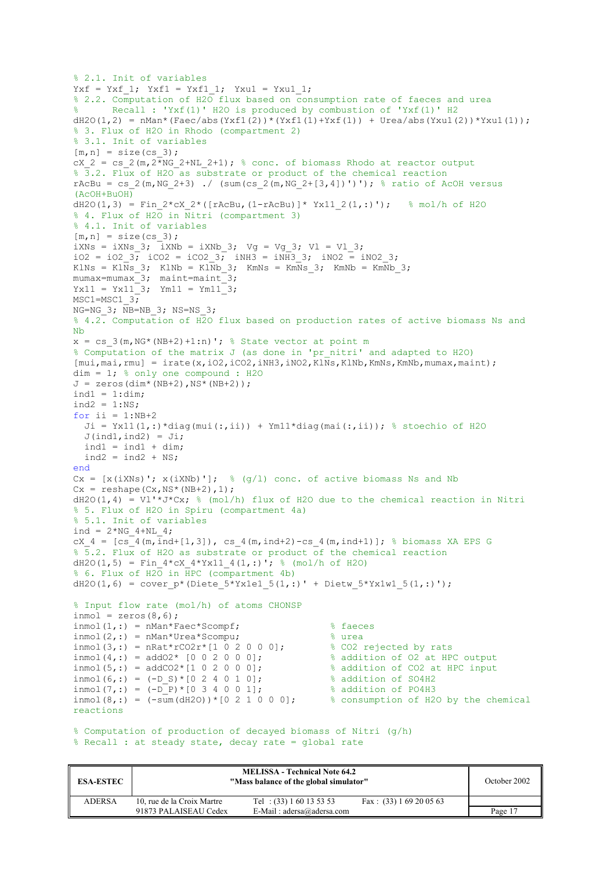```
% 2.1. Init of variables 
Yxf = Yxf 1; Yxf1 = Yxf1 1; Yxu1 = Yxu1 1;
% 2.2. Computation of H2O flux based on consumption rate of faeces and urea 
       Recall : 'Yxf(1)' H2O is produced by combustion of 'Yxf(1)' H2
dH2O(1,2) = nMan*(Faec/abs(Yxf1(2))*(Yxf1(1)+Yxf(1)) + Urea/abs(Yxu1(2))*Yxu1(1));
% 3. Flux of H2O in Rhodo (compartment 2) 
% 3.1. Init of variables 
[m,n] = size(css3);cX_2 = cs_2(m, 2 \overline{*}NG_2 + NL_2 + 1); % conc. of biomass Rhodo at reactor output
% 3.2. Flux of H2O as substrate or product of the chemical reaction 
rAcBu = cs_2(m,NG_2+3) ./ (sum(cs_2(m,NG_2+[3,4])')'); % ratio of AcOH versus
(AcOH+BuOH) 
dH2O(1,3) = Fin 2*cX 2*([rAcBu,(1-rAcBu)]* Yx11 2(1,:)'); % mol/h of H2O
% 4. Flux of H2O in Nitri (compartment 3) 
% 4.1. Init of variables 
[m,n] = size(cs_3);iXNs = iXNs_3; iXNb = iXNb_3; Vg = Vg_3; Vl = Vl_3;
iO2 = iO2 3; iCO2 = iCO2 3; iNH3 = iNH3 3; iNO2 = iNO2 3;KlNs = Kl\overline{Ns} 3; KlNb = KlNb 3; KmNs = KmNs 3; KmNb = KmNb 3;
mumax=mumax_3; maint=maint_3; 
Yx11 = Yx11_3; Ym11 = Ym11_3;MSC1 = MSC1 3;
NG=NG 3; \overline{N}B=NB 3; NS=NS 3;
% 4.2. Computation of H2O flux based on production rates of active biomass Ns and 
Nb 
x = cs 3(m, NG*(NB+2)+1:n)'; % State vector at point m
% Computation of the matrix J (as done in 'pr_nitri' and adapted to H2O) 
[mui,mai,rmul] = irate(x,i02,i02,iNH3,iNO2,KlNs,KlNb,KmNs,KmNb,mumax,maint);dim = 1; % only one compound : H2OJ = zeros(dim*(NB+2),NS*(NB+2));
ind1 = 1:dim;ind2 = 1:NS;for i = 1:NB+2Ji = Yx11(1,:)*diag(mui(:,ii)) + Ym11*diag(mai(:,ii)); % stoechio of H2O
  J(ind1,ind2) = Ji;ind1 = ind1 + dim;ind2 = ind2 + NS;end
Cx = [x(iXNs)'; x(iXNb)']; % (q/l) conc. of active biomass Ns and Nb
Cx = reshape (Cx, NS*(NB+2), 1);
dH2O(1,4) = VI'*J*Cx; % (mol/h) flux of H2O due to the chemical reaction in Nitri
% 5. Flux of H2O in Spiru (compartment 4a) 
% 5.1. Init of variables 
ind = 2*NG 4+NL 4;
cX 4 = [\text{cs}^4(\text{m},\text{ind}+[1,3]), cs 4(\text{m},\text{ind}+2)-cs 4(\text{m},\text{ind}+1)]; % biomass XA EPS G
% 5.2. Flux of H2O as substrate or product of the chemical reaction 
dH2O(1,5) = Fin 4*cX 4*Yx11 4(1,:)'; % (mol/h of H2O)
% 6. Flux of H2O in HPC (compartment 4b) 
dH2O(1,6) = cover p^*(Diete 5*Yx1e1 5(1,:)' + Dietw 5*Yx1w1 5(1,:)');
% Input flow rate (mol/h) of atoms CHONSP 
inmol = zeros(8, 6);\text{inmol}(1,:) = \text{nMan*Face*Scompf}; % faeces
\text{inmol}(2,:) = \text{nMan*Urea*Scompu}; % urea
\text{inmol}(3,:) = nRat*rCO2r*[1 0 2 0 0 0]; % CO2 rejected by rats
\text{inmol}(4,:) = \text{addO2*} [0 0 2 0 0 0]; \text{\$ addition of O2 at HPC output}\text{inmol}(5,:) = \text{addCO2*}[1 \ 0 \ 2 \ 0 \ 0 \ 0]; % addition of CO2 at HPC input
\text{inmol}(6,:) = (-D S)*(0 2 4 0 1 0); % addition of SO4H2
\text{inmol}(7,:) = (-D_P)*(0 \ 3 \ 4 \ 0 \ 0 \ 1]; % addition of PO4H3
inmol(8,:) = (-\text{sum}(dH2O)) * [0 2 1 0 0 0]; % consumption of H2O by the chemical
reactions
```

```
% Computation of production of decayed biomass of Nitri (g/h)
% Recall : at steady state, decay rate = global rate
```

| <b>ESA-ESTEC</b> | "Mass balance of the global simulator" | October 2002                |                           |         |
|------------------|----------------------------------------|-----------------------------|---------------------------|---------|
| <b>ADERSA</b>    | 10, rue de la Croix Martre             | Tel: $(33) 1 60 13 53 53$   | Fax: $(33) 1 69 20 05 63$ |         |
|                  | 91873 PALAISEAU Cedex                  | E-Mail: $adersa@adersa.com$ |                           | Page 17 |